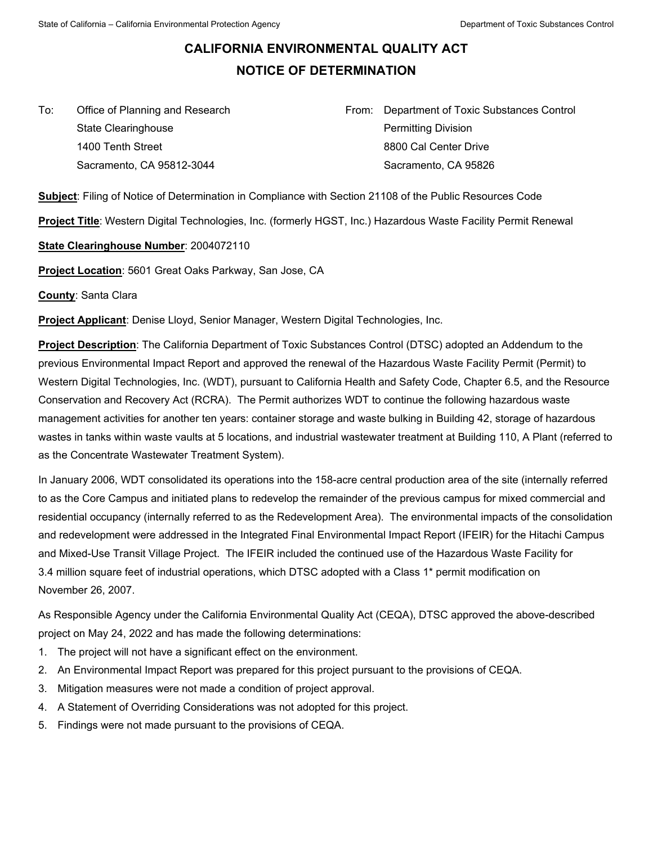## **CALIFORNIA ENVIRONMENTAL QUALITY ACT NOTICE OF DETERMINATION**

To:Office of Planning and Research State Clearinghouse 1400 Tenth Street Sacramento, CA 95812-3044

From: Department of Toxic Substances Control Permitting Division 8800 Cal Center Drive Sacramento, CA 95826

**Subject**: Filing of Notice of Determination in Compliance with Section 21108 of the Public Resources Code

**Project Title**: Western Digital Technologies, Inc. (formerly HGST, Inc.) Hazardous Waste Facility Permit Renewal

## **State Clearinghouse Number**: 2004072110

**Project Location**: 5601 Great Oaks Parkway, San Jose, CA

**County**: Santa Clara

**Project Applicant**: Denise Lloyd, Senior Manager, Western Digital Technologies, Inc.

**Project Description**: The California Department of Toxic Substances Control (DTSC) adopted an Addendum to the previous Environmental Impact Report and approved the renewal of the Hazardous Waste Facility Permit (Permit) to Western Digital Technologies, Inc. (WDT), pursuant to California Health and Safety Code, Chapter 6.5, and the Resource Conservation and Recovery Act (RCRA). The Permit authorizes WDT to continue the following hazardous waste management activities for another ten years: container storage and waste bulking in Building 42, storage of hazardous wastes in tanks within waste vaults at 5 locations, and industrial wastewater treatment at Building 110, A Plant (referred to as the Concentrate Wastewater Treatment System).

In January 2006, WDT consolidated its operations into the 158-acre central production area of the site (internally referred to as the Core Campus and initiated plans to redevelop the remainder of the previous campus for mixed commercial and residential occupancy (internally referred to as the Redevelopment Area). The environmental impacts of the consolidation and redevelopment were addressed in the Integrated Final Environmental Impact Report (IFEIR) for the Hitachi Campus and Mixed-Use Transit Village Project. The IFEIR included the continued use of the Hazardous Waste Facility for 3.4 million square feet of industrial operations, which DTSC adopted with a Class 1\* permit modification on November 26, 2007.

As Responsible Agency under the California Environmental Quality Act (CEQA), DTSC approved the above-described project on May 24, 2022 and has made the following determinations:

- 1. The project will not have a significant effect on the environment.
- 2. An Environmental Impact Report was prepared for this project pursuant to the provisions of CEQA.
- 3. Mitigation measures were not made a condition of project approval.
- 4. A Statement of Overriding Considerations was not adopted for this project.
- 5. Findings were not made pursuant to the provisions of CEQA.